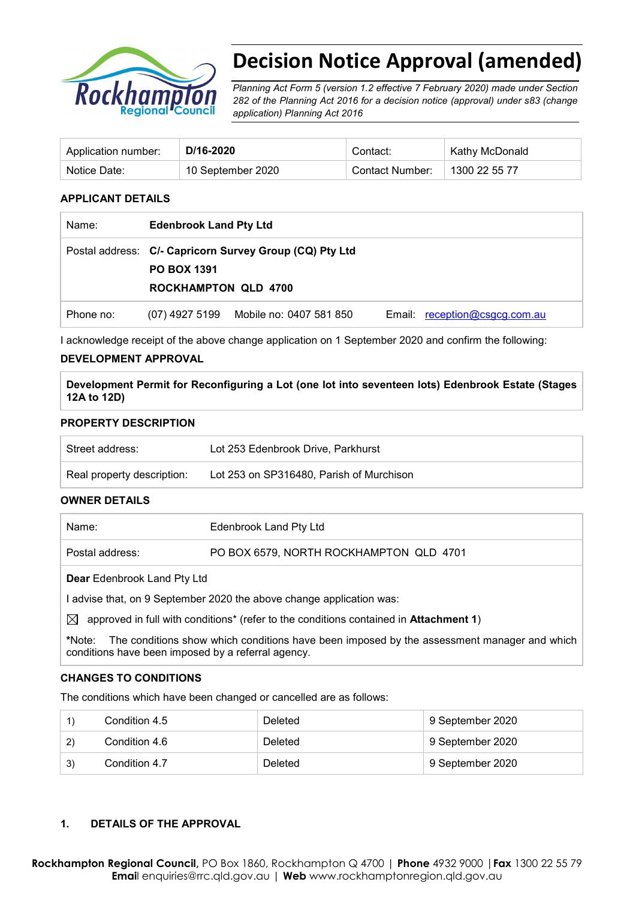

# **Decision Notice Approval (amended)**

*Planning Act Form 5 (version 1.2 effective 7 February 2020) made under Section 282 of the Planning Act 2016 for a decision notice (approval) under s83 (change application) Planning Act 2016* 

| Application number: | D/16-2020         | Contact:        | Kathy McDonald |
|---------------------|-------------------|-----------------|----------------|
| Notice Date:        | 10 September 2020 | Contact Number: | 1300 22 55 77  |

#### **APPLICANT DETAILS**

| Name:     | <b>Edenbrook Land Pty Ltd</b>                     |                                                         |  |                               |
|-----------|---------------------------------------------------|---------------------------------------------------------|--|-------------------------------|
|           | <b>PO BOX 1391</b><br><b>ROCKHAMPTON QLD 4700</b> | Postal address: C/- Capricorn Survey Group (CQ) Pty Ltd |  |                               |
| Phone no: |                                                   | (07) 4927 5199 Mobile no: 0407 581 850                  |  | Email: reception@csgcg.com.au |

I acknowledge receipt of the above change application on 1 September 2020 and confirm the following:

#### **DEVELOPMENT APPROVAL**

**Development Permit for Reconfiguring a Lot (one lot into seventeen lots) Edenbrook Estate (Stages 12A to 12D)**

#### **PROPERTY DESCRIPTION**

| Street address:            | Lot 253 Edenbrook Drive, Parkhurst       |
|----------------------------|------------------------------------------|
| Real property description: | Lot 253 on SP316480, Parish of Murchison |

#### **OWNER DETAILS**

| Name:           | Edenbrook Land Pty Ltd                  |
|-----------------|-----------------------------------------|
| Postal address: | PO BOX 6579, NORTH ROCKHAMPTON QLD 4701 |
|                 |                                         |

**Dear** Edenbrook Land Pty Ltd

I advise that, on 9 September 2020 the above change application was:

 $\boxtimes$  approved in full with conditions<sup>\*</sup> (refer to the conditions contained in **Attachment 1**)

**\***Note:The conditions show which conditions have been imposed by the assessment manager and which conditions have been imposed by a referral agency.

#### **CHANGES TO CONDITIONS**

The conditions which have been changed or cancelled are as follows:

|    | Condition 4.5 | Deleted | 9 September 2020 |
|----|---------------|---------|------------------|
| 2) | Condition 4.6 | Deleted | 9 September 2020 |
| 3) | Condition 4.7 | Deleted | 9 September 2020 |

#### **1. DETAILS OF THE APPROVAL**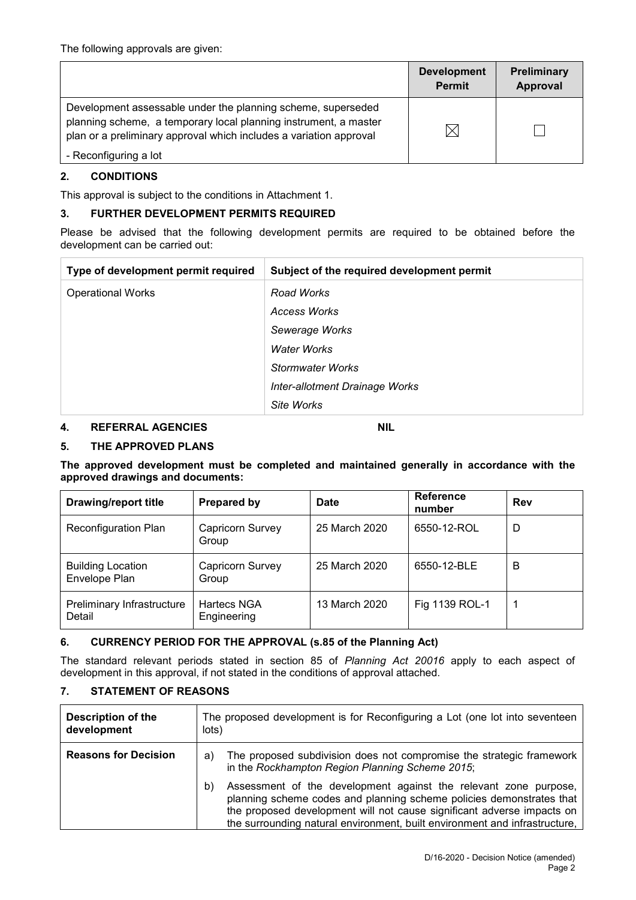|                                                                                                                                                                                                        | <b>Development</b><br><b>Permit</b> | <b>Preliminary</b><br>Approval |
|--------------------------------------------------------------------------------------------------------------------------------------------------------------------------------------------------------|-------------------------------------|--------------------------------|
| Development assessable under the planning scheme, superseded<br>planning scheme, a temporary local planning instrument, a master<br>plan or a preliminary approval which includes a variation approval |                                     |                                |
| - Reconfiguring a lot                                                                                                                                                                                  |                                     |                                |

#### **2. CONDITIONS**

This approval is subject to the conditions in Attachment 1.

#### **3. FURTHER DEVELOPMENT PERMITS REQUIRED**

Please be advised that the following development permits are required to be obtained before the development can be carried out:

| Type of development permit required | Subject of the required development permit |
|-------------------------------------|--------------------------------------------|
| <b>Operational Works</b>            | Road Works                                 |
|                                     | Access Works                               |
|                                     | Sewerage Works                             |
|                                     | <b>Water Works</b>                         |
|                                     | Stormwater Works                           |
|                                     | Inter-allotment Drainage Works             |
|                                     | Site Works                                 |

#### **4. REFERRAL AGENCIES NIL**

#### **5. THE APPROVED PLANS**

**The approved development must be completed and maintained generally in accordance with the approved drawings and documents:**

| <b>Drawing/report title</b>               | Prepared by                | <b>Date</b>   | <b>Reference</b><br>number | Rev |
|-------------------------------------------|----------------------------|---------------|----------------------------|-----|
| <b>Reconfiguration Plan</b>               | Capricorn Survey<br>Group  | 25 March 2020 | 6550-12-ROL                | D   |
| <b>Building Location</b><br>Envelope Plan | Capricorn Survey<br>Group  | 25 March 2020 | 6550-12-BLE                | В   |
| Preliminary Infrastructure<br>Detail      | Hartecs NGA<br>Engineering | 13 March 2020 | Fig 1139 ROL-1             |     |

#### **6. CURRENCY PERIOD FOR THE APPROVAL (s.85 of the Planning Act)**

The standard relevant periods stated in section 85 of *Planning Act 20016* apply to each aspect of development in this approval, if not stated in the conditions of approval attached.

#### **7. STATEMENT OF REASONS**

| <b>Description of the</b><br>development | The proposed development is for Reconfiguring a Lot (one lot into seventeen<br>lots)                                                                                                                                                                                                                   |  |
|------------------------------------------|--------------------------------------------------------------------------------------------------------------------------------------------------------------------------------------------------------------------------------------------------------------------------------------------------------|--|
| <b>Reasons for Decision</b>              | The proposed subdivision does not compromise the strategic framework<br>a)<br>in the Rockhampton Region Planning Scheme 2015;                                                                                                                                                                          |  |
|                                          | Assessment of the development against the relevant zone purpose,<br>b)<br>planning scheme codes and planning scheme policies demonstrates that<br>the proposed development will not cause significant adverse impacts on<br>the surrounding natural environment, built environment and infrastructure, |  |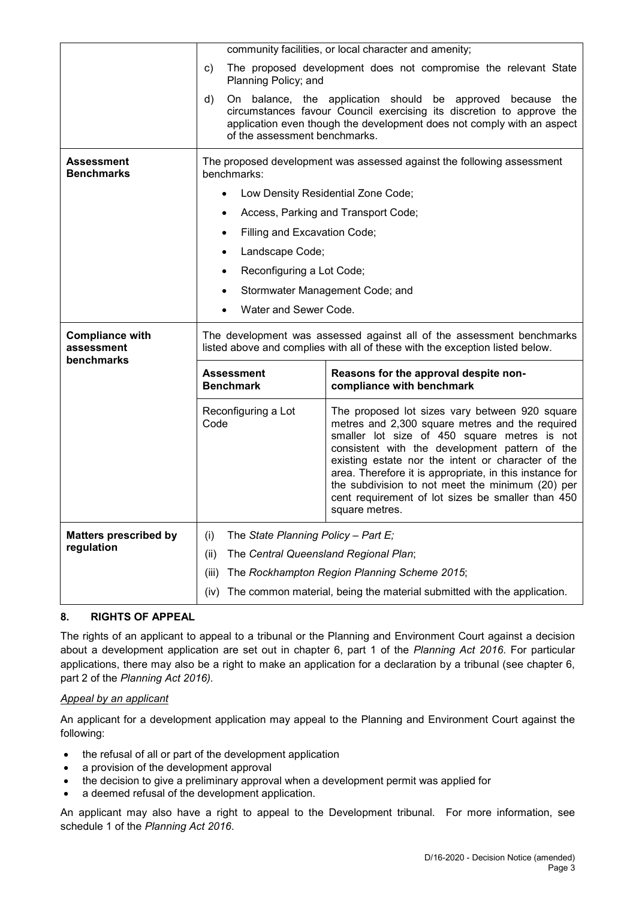|                                        | community facilities, or local character and amenity;                                                                                                 |                                                                                                                                                                                                                                                                                                                                                                                                                                                 |  |  |
|----------------------------------------|-------------------------------------------------------------------------------------------------------------------------------------------------------|-------------------------------------------------------------------------------------------------------------------------------------------------------------------------------------------------------------------------------------------------------------------------------------------------------------------------------------------------------------------------------------------------------------------------------------------------|--|--|
|                                        | C)<br>Planning Policy; and                                                                                                                            | The proposed development does not compromise the relevant State                                                                                                                                                                                                                                                                                                                                                                                 |  |  |
|                                        | d)<br>of the assessment benchmarks.                                                                                                                   | On balance, the application should be approved because the<br>circumstances favour Council exercising its discretion to approve the<br>application even though the development does not comply with an aspect                                                                                                                                                                                                                                   |  |  |
| <b>Assessment</b><br><b>Benchmarks</b> | The proposed development was assessed against the following assessment<br>benchmarks:                                                                 |                                                                                                                                                                                                                                                                                                                                                                                                                                                 |  |  |
|                                        | $\bullet$                                                                                                                                             | Low Density Residential Zone Code;                                                                                                                                                                                                                                                                                                                                                                                                              |  |  |
|                                        | $\bullet$                                                                                                                                             | Access, Parking and Transport Code;                                                                                                                                                                                                                                                                                                                                                                                                             |  |  |
|                                        | Filling and Excavation Code;<br>$\bullet$                                                                                                             |                                                                                                                                                                                                                                                                                                                                                                                                                                                 |  |  |
|                                        | Landscape Code;<br>$\bullet$                                                                                                                          |                                                                                                                                                                                                                                                                                                                                                                                                                                                 |  |  |
|                                        | Reconfiguring a Lot Code;<br>$\bullet$                                                                                                                |                                                                                                                                                                                                                                                                                                                                                                                                                                                 |  |  |
|                                        | $\bullet$                                                                                                                                             | Stormwater Management Code; and                                                                                                                                                                                                                                                                                                                                                                                                                 |  |  |
|                                        | Water and Sewer Code.                                                                                                                                 |                                                                                                                                                                                                                                                                                                                                                                                                                                                 |  |  |
| <b>Compliance with</b>                 | The development was assessed against all of the assessment benchmarks<br>listed above and complies with all of these with the exception listed below. |                                                                                                                                                                                                                                                                                                                                                                                                                                                 |  |  |
| assessment                             |                                                                                                                                                       |                                                                                                                                                                                                                                                                                                                                                                                                                                                 |  |  |
| benchmarks                             | <b>Assessment</b><br><b>Benchmark</b>                                                                                                                 | Reasons for the approval despite non-<br>compliance with benchmark                                                                                                                                                                                                                                                                                                                                                                              |  |  |
|                                        | Reconfiguring a Lot<br>Code                                                                                                                           | The proposed lot sizes vary between 920 square<br>metres and 2,300 square metres and the required<br>smaller lot size of 450 square metres is not<br>consistent with the development pattern of the<br>existing estate nor the intent or character of the<br>area. Therefore it is appropriate, in this instance for<br>the subdivision to not meet the minimum (20) per<br>cent requirement of lot sizes be smaller than 450<br>square metres. |  |  |
| <b>Matters prescribed by</b>           | The State Planning Policy - Part E;<br>(i)                                                                                                            |                                                                                                                                                                                                                                                                                                                                                                                                                                                 |  |  |
| regulation                             | The Central Queensland Regional Plan;<br>(ii)                                                                                                         |                                                                                                                                                                                                                                                                                                                                                                                                                                                 |  |  |
|                                        | (iii)                                                                                                                                                 | The Rockhampton Region Planning Scheme 2015;                                                                                                                                                                                                                                                                                                                                                                                                    |  |  |

#### **8. RIGHTS OF APPEAL**

The rights of an applicant to appeal to a tribunal or the Planning and Environment Court against a decision about a development application are set out in chapter 6, part 1 of the *Planning Act 2016*. For particular applications, there may also be a right to make an application for a declaration by a tribunal (see chapter 6, part 2 of the *Planning Act 2016).*

#### *Appeal by an applicant*

An applicant for a development application may appeal to the Planning and Environment Court against the following:

- the refusal of all or part of the development application
- a provision of the development approval
- the decision to give a preliminary approval when a development permit was applied for
- a deemed refusal of the development application.

An applicant may also have a right to appeal to the Development tribunal. For more information, see schedule 1 of the *Planning Act 2016*.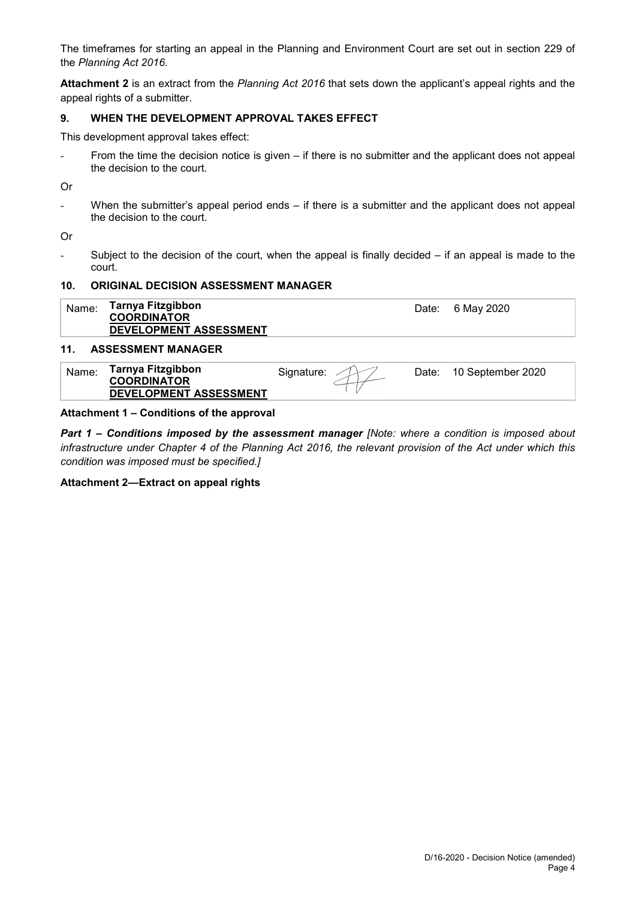The timeframes for starting an appeal in the Planning and Environment Court are set out in section 229 of the *Planning Act 2016*.

**Attachment 2** is an extract from the *Planning Act 2016* that sets down the applicant's appeal rights and the appeal rights of a submitter.

#### **9. WHEN THE DEVELOPMENT APPROVAL TAKES EFFECT**

This development approval takes effect:

From the time the decision notice is given – if there is no submitter and the applicant does not appeal the decision to the court.

Or

- When the submitter's appeal period ends – if there is a submitter and the applicant does not appeal the decision to the court.

Or

Subject to the decision of the court, when the appeal is finally decided  $-$  if an appeal is made to the court.

#### **10. ORIGINAL DECISION ASSESSMENT MANAGER**

| Name: | Tarnya Fitzgibbon<br><b>COORDINATOR</b><br>DEVELOPMENT ASSESSMENT |                     | Date: 6 May 2020        |
|-------|-------------------------------------------------------------------|---------------------|-------------------------|
| 11.   | <b>ASSESSMENT MANAGER</b>                                         |                     |                         |
| Name: | Tarnya Fitzgibbon<br><b>COORDINATOR</b><br>DEVELOPMENT ASSESSMENT | Signature: $\angle$ | Date: 10 September 2020 |

#### **Attachment 1 – Conditions of the approval**

*Part 1* **–** *Conditions imposed by the assessment manager [Note: where a condition is imposed about infrastructure under Chapter 4 of the Planning Act 2016, the relevant provision of the Act under which this condition was imposed must be specified.]*

#### **Attachment 2—Extract on appeal rights**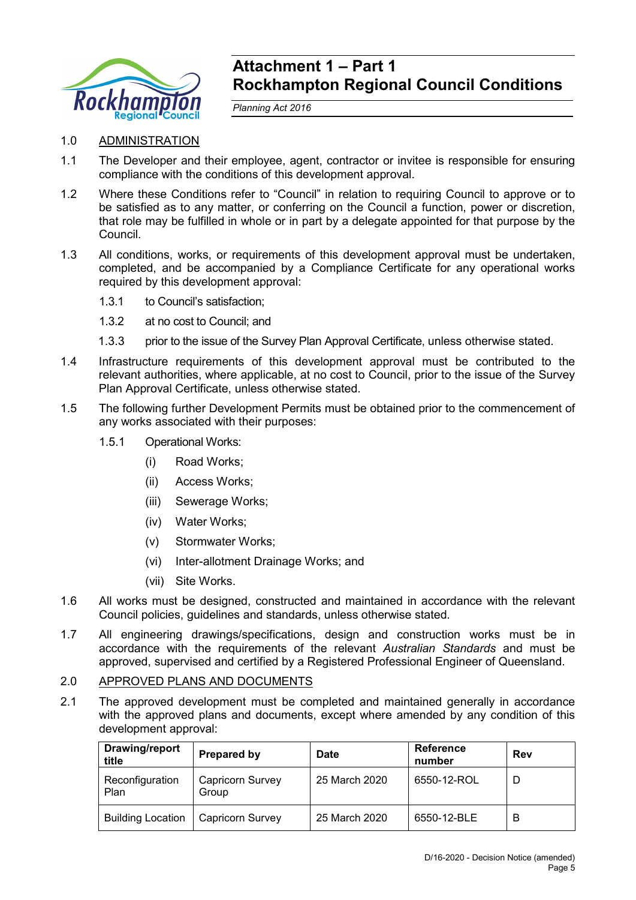

# **Attachment 1 – Part 1 Rockhampton Regional Council Conditions**

*Planning Act 2016*

## 1.0 ADMINISTRATION

- 1.1 The Developer and their employee, agent, contractor or invitee is responsible for ensuring compliance with the conditions of this development approval.
- 1.2 Where these Conditions refer to "Council" in relation to requiring Council to approve or to be satisfied as to any matter, or conferring on the Council a function, power or discretion, that role may be fulfilled in whole or in part by a delegate appointed for that purpose by the Council.
- 1.3 All conditions, works, or requirements of this development approval must be undertaken, completed, and be accompanied by a Compliance Certificate for any operational works required by this development approval:
	- 1.3.1 to Council's satisfaction;
	- 1.3.2 at no cost to Council; and
	- 1.3.3 prior to the issue of the Survey Plan Approval Certificate, unless otherwise stated.
- 1.4 Infrastructure requirements of this development approval must be contributed to the relevant authorities, where applicable, at no cost to Council, prior to the issue of the Survey Plan Approval Certificate, unless otherwise stated.
- 1.5 The following further Development Permits must be obtained prior to the commencement of any works associated with their purposes:
	- 1.5.1 Operational Works:
		- (i) Road Works;
		- (ii) Access Works;
		- (iii) Sewerage Works;
		- (iv) Water Works;
		- (v) Stormwater Works;
		- (vi) Inter-allotment Drainage Works; and
		- (vii) Site Works.
- 1.6 All works must be designed, constructed and maintained in accordance with the relevant Council policies, guidelines and standards, unless otherwise stated.
- 1.7 All engineering drawings/specifications, design and construction works must be in accordance with the requirements of the relevant *Australian Standards* and must be approved, supervised and certified by a Registered Professional Engineer of Queensland.

#### 2.0 APPROVED PLANS AND DOCUMENTS

2.1 The approved development must be completed and maintained generally in accordance with the approved plans and documents, except where amended by any condition of this development approval:

| <b>Drawing/report</b><br>title | Prepared by                      | <b>Reference</b><br><b>Date</b><br>number |             | Rev |
|--------------------------------|----------------------------------|-------------------------------------------|-------------|-----|
| Reconfiguration<br>Plan        | <b>Capricorn Survey</b><br>Group | 25 March 2020                             | 6550-12-ROL |     |
| <b>Building Location</b>       | <b>Capricorn Survey</b>          | 25 March 2020                             | 6550-12-BLE | B   |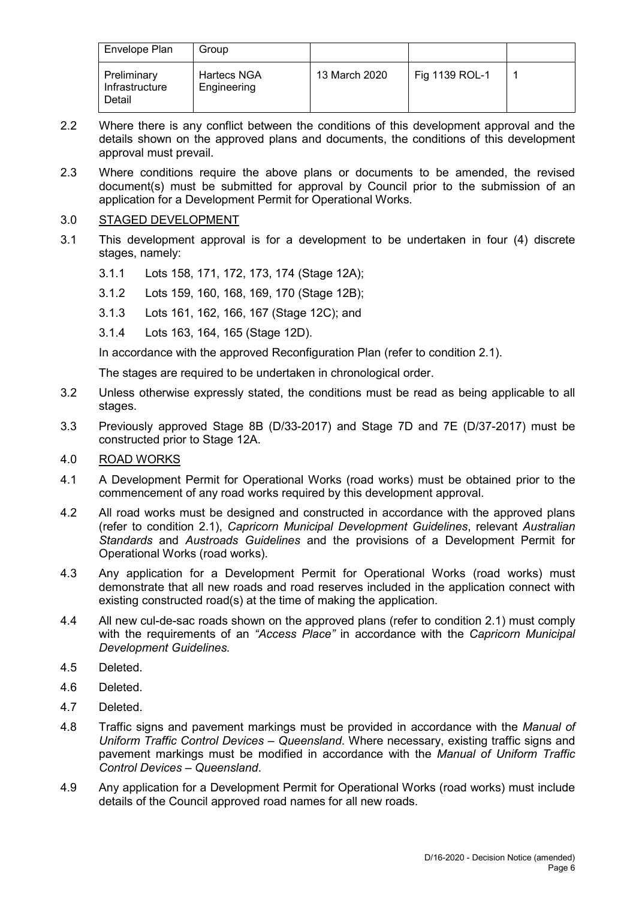| Envelope Plan                           | Group                             |               |                |  |
|-----------------------------------------|-----------------------------------|---------------|----------------|--|
| Preliminary<br>Infrastructure<br>Detail | <b>Hartecs NGA</b><br>Engineering | 13 March 2020 | Fig 1139 ROL-1 |  |

- 2.2 Where there is any conflict between the conditions of this development approval and the details shown on the approved plans and documents, the conditions of this development approval must prevail.
- 2.3 Where conditions require the above plans or documents to be amended, the revised document(s) must be submitted for approval by Council prior to the submission of an application for a Development Permit for Operational Works.

### 3.0 STAGED DEVELOPMENT

- 3.1 This development approval is for a development to be undertaken in four (4) discrete stages, namely:
	- 3.1.1 Lots 158, 171, 172, 173, 174 (Stage 12A);
	- 3.1.2 Lots 159, 160, 168, 169, 170 (Stage 12B);
	- 3.1.3 Lots 161, 162, 166, 167 (Stage 12C); and
	- 3.1.4 Lots 163, 164, 165 (Stage 12D).

In accordance with the approved Reconfiguration Plan (refer to condition 2.1).

The stages are required to be undertaken in chronological order.

- 3.2 Unless otherwise expressly stated, the conditions must be read as being applicable to all stages.
- 3.3 Previously approved Stage 8B (D/33-2017) and Stage 7D and 7E (D/37-2017) must be constructed prior to Stage 12A.

#### 4.0 ROAD WORKS

- 4.1 A Development Permit for Operational Works (road works) must be obtained prior to the commencement of any road works required by this development approval.
- 4.2 All road works must be designed and constructed in accordance with the approved plans (refer to condition 2.1), *Capricorn Municipal Development Guidelines*, relevant *Australian Standards* and *Austroads Guidelines* and the provisions of a Development Permit for Operational Works (road works).
- 4.3 Any application for a Development Permit for Operational Works (road works) must demonstrate that all new roads and road reserves included in the application connect with existing constructed road(s) at the time of making the application.
- 4.4 All new cul-de-sac roads shown on the approved plans (refer to condition 2.1) must comply with the requirements of an *"Access Place"* in accordance with the *Capricorn Municipal Development Guidelines.*
- 4.5 Deleted.
- 4.6 Deleted.
- 4.7 Deleted.
- 4.8 Traffic signs and pavement markings must be provided in accordance with the *Manual of Uniform Traffic Control Devices – Queensland*. Where necessary, existing traffic signs and pavement markings must be modified in accordance with the *Manual of Uniform Traffic Control Devices – Queensland*.
- 4.9 Any application for a Development Permit for Operational Works (road works) must include details of the Council approved road names for all new roads.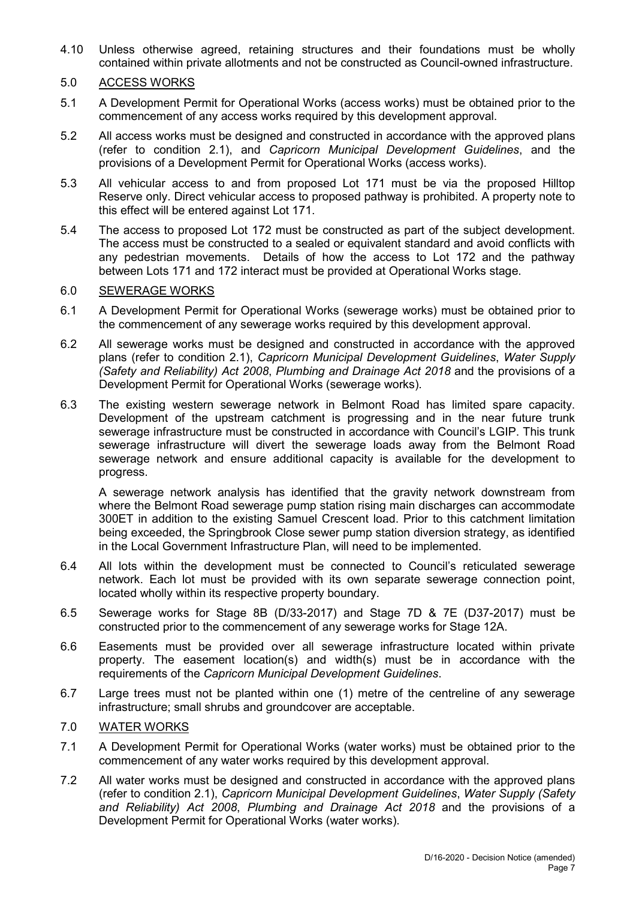4.10 Unless otherwise agreed, retaining structures and their foundations must be wholly contained within private allotments and not be constructed as Council-owned infrastructure.

#### 5.0 ACCESS WORKS

- 5.1 A Development Permit for Operational Works (access works) must be obtained prior to the commencement of any access works required by this development approval.
- 5.2 All access works must be designed and constructed in accordance with the approved plans (refer to condition 2.1), and *Capricorn Municipal Development Guidelines*, and the provisions of a Development Permit for Operational Works (access works).
- 5.3 All vehicular access to and from proposed Lot 171 must be via the proposed Hilltop Reserve only. Direct vehicular access to proposed pathway is prohibited. A property note to this effect will be entered against Lot 171.
- 5.4 The access to proposed Lot 172 must be constructed as part of the subject development. The access must be constructed to a sealed or equivalent standard and avoid conflicts with any pedestrian movements. Details of how the access to Lot 172 and the pathway between Lots 171 and 172 interact must be provided at Operational Works stage.

#### 6.0 SEWERAGE WORKS

- 6.1 A Development Permit for Operational Works (sewerage works) must be obtained prior to the commencement of any sewerage works required by this development approval.
- 6.2 All sewerage works must be designed and constructed in accordance with the approved plans (refer to condition 2.1), *Capricorn Municipal Development Guidelines*, *Water Supply (Safety and Reliability) Act 2008*, *Plumbing and Drainage Act 2018* and the provisions of a Development Permit for Operational Works (sewerage works).
- 6.3 The existing western sewerage network in Belmont Road has limited spare capacity. Development of the upstream catchment is progressing and in the near future trunk sewerage infrastructure must be constructed in accordance with Council's LGIP. This trunk sewerage infrastructure will divert the sewerage loads away from the Belmont Road sewerage network and ensure additional capacity is available for the development to progress.

A sewerage network analysis has identified that the gravity network downstream from where the Belmont Road sewerage pump station rising main discharges can accommodate 300ET in addition to the existing Samuel Crescent load. Prior to this catchment limitation being exceeded, the Springbrook Close sewer pump station diversion strategy, as identified in the Local Government Infrastructure Plan, will need to be implemented.

- 6.4 All lots within the development must be connected to Council's reticulated sewerage network. Each lot must be provided with its own separate sewerage connection point, located wholly within its respective property boundary.
- 6.5 Sewerage works for Stage 8B (D/33-2017) and Stage 7D & 7E (D37-2017) must be constructed prior to the commencement of any sewerage works for Stage 12A.
- 6.6 Easements must be provided over all sewerage infrastructure located within private property. The easement location(s) and width(s) must be in accordance with the requirements of the *Capricorn Municipal Development Guidelines*.
- 6.7 Large trees must not be planted within one (1) metre of the centreline of any sewerage infrastructure; small shrubs and groundcover are acceptable.

### 7.0 WATER WORKS

- 7.1 A Development Permit for Operational Works (water works) must be obtained prior to the commencement of any water works required by this development approval.
- 7.2 All water works must be designed and constructed in accordance with the approved plans (refer to condition 2.1), *Capricorn Municipal Development Guidelines*, *Water Supply (Safety and Reliability) Act 2008*, *Plumbing and Drainage Act 2018* and the provisions of a Development Permit for Operational Works (water works).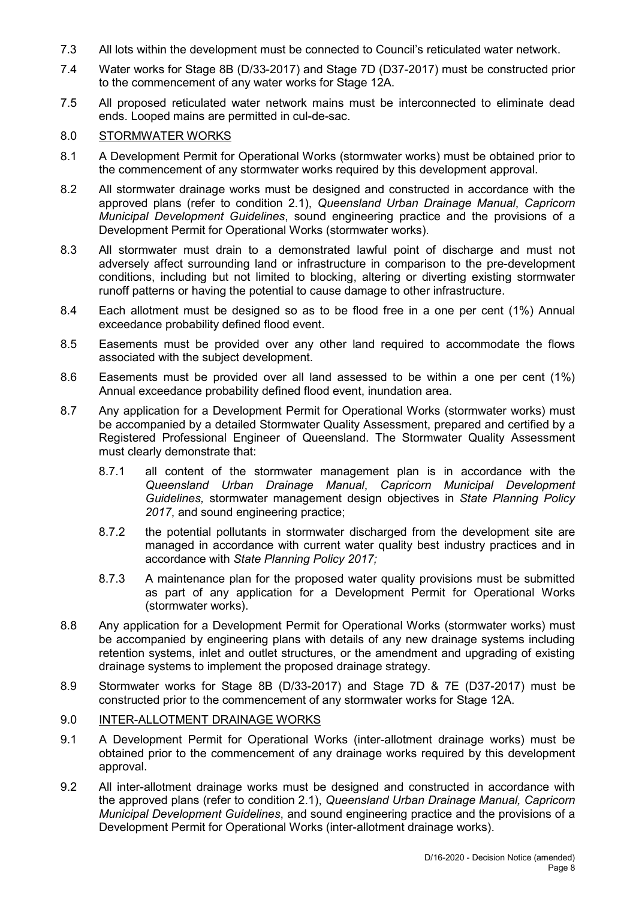- 7.3 All lots within the development must be connected to Council's reticulated water network.
- 7.4 Water works for Stage 8B (D/33-2017) and Stage 7D (D37-2017) must be constructed prior to the commencement of any water works for Stage 12A.
- 7.5 All proposed reticulated water network mains must be interconnected to eliminate dead ends. Looped mains are permitted in cul-de-sac.

# 8.0 STORMWATER WORKS

- 8.1 A Development Permit for Operational Works (stormwater works) must be obtained prior to the commencement of any stormwater works required by this development approval.
- 8.2 All stormwater drainage works must be designed and constructed in accordance with the approved plans (refer to condition 2.1), *Queensland Urban Drainage Manual*, *Capricorn Municipal Development Guidelines*, sound engineering practice and the provisions of a Development Permit for Operational Works (stormwater works).
- 8.3 All stormwater must drain to a demonstrated lawful point of discharge and must not adversely affect surrounding land or infrastructure in comparison to the pre-development conditions, including but not limited to blocking, altering or diverting existing stormwater runoff patterns or having the potential to cause damage to other infrastructure.
- 8.4 Each allotment must be designed so as to be flood free in a one per cent (1%) Annual exceedance probability defined flood event.
- 8.5 Easements must be provided over any other land required to accommodate the flows associated with the subject development.
- 8.6 Easements must be provided over all land assessed to be within a one per cent (1%) Annual exceedance probability defined flood event, inundation area.
- 8.7 Any application for a Development Permit for Operational Works (stormwater works) must be accompanied by a detailed Stormwater Quality Assessment, prepared and certified by a Registered Professional Engineer of Queensland. The Stormwater Quality Assessment must clearly demonstrate that:
	- 8.7.1 all content of the stormwater management plan is in accordance with the *Queensland Urban Drainage Manual*, *Capricorn Municipal Development Guidelines,* stormwater management design objectives in *State Planning Policy 2017*, and sound engineering practice;
	- 8.7.2 the potential pollutants in stormwater discharged from the development site are managed in accordance with current water quality best industry practices and in accordance with *State Planning Policy 2017;*
	- 8.7.3 A maintenance plan for the proposed water quality provisions must be submitted as part of any application for a Development Permit for Operational Works (stormwater works).
- 8.8 Any application for a Development Permit for Operational Works (stormwater works) must be accompanied by engineering plans with details of any new drainage systems including retention systems, inlet and outlet structures, or the amendment and upgrading of existing drainage systems to implement the proposed drainage strategy.
- 8.9 Stormwater works for Stage 8B (D/33-2017) and Stage 7D & 7E (D37-2017) must be constructed prior to the commencement of any stormwater works for Stage 12A.

#### 9.0 INTER-ALLOTMENT DRAINAGE WORKS

- 9.1 A Development Permit for Operational Works (inter-allotment drainage works) must be obtained prior to the commencement of any drainage works required by this development approval.
- 9.2 All inter-allotment drainage works must be designed and constructed in accordance with the approved plans (refer to condition 2.1), *Queensland Urban Drainage Manual, Capricorn Municipal Development Guidelines*, and sound engineering practice and the provisions of a Development Permit for Operational Works (inter-allotment drainage works).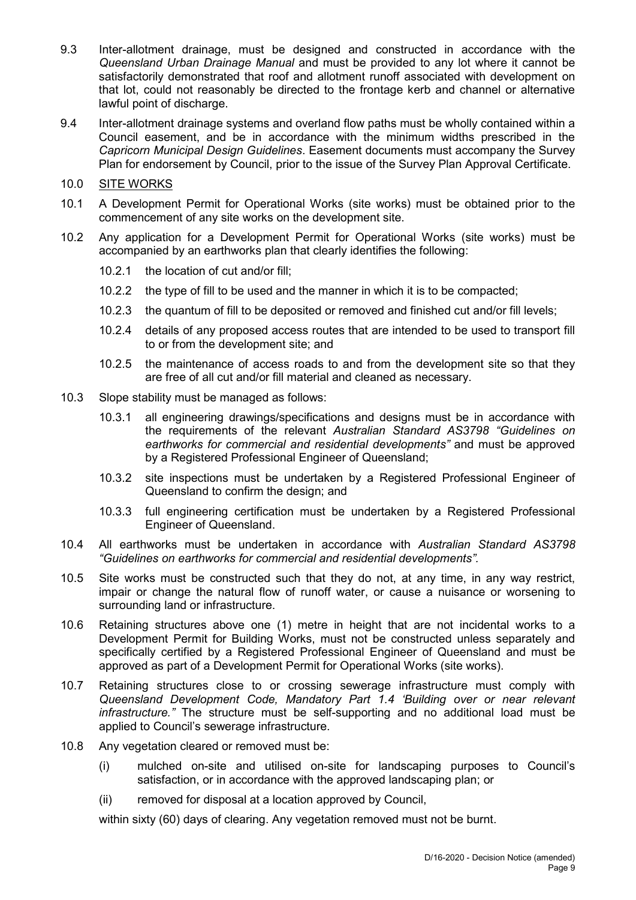- 9.3 Inter-allotment drainage, must be designed and constructed in accordance with the *Queensland Urban Drainage Manual* and must be provided to any lot where it cannot be satisfactorily demonstrated that roof and allotment runoff associated with development on that lot, could not reasonably be directed to the frontage kerb and channel or alternative lawful point of discharge.
- 9.4 Inter-allotment drainage systems and overland flow paths must be wholly contained within a Council easement, and be in accordance with the minimum widths prescribed in the *Capricorn Municipal Design Guidelines*. Easement documents must accompany the Survey Plan for endorsement by Council, prior to the issue of the Survey Plan Approval Certificate.

## 10.0 SITE WORKS

- 10.1 A Development Permit for Operational Works (site works) must be obtained prior to the commencement of any site works on the development site.
- 10.2 Any application for a Development Permit for Operational Works (site works) must be accompanied by an earthworks plan that clearly identifies the following:
	- 10.2.1 the location of cut and/or fill;
	- 10.2.2 the type of fill to be used and the manner in which it is to be compacted;
	- 10.2.3 the quantum of fill to be deposited or removed and finished cut and/or fill levels;
	- 10.2.4 details of any proposed access routes that are intended to be used to transport fill to or from the development site; and
	- 10.2.5 the maintenance of access roads to and from the development site so that they are free of all cut and/or fill material and cleaned as necessary.
- 10.3 Slope stability must be managed as follows:
	- 10.3.1 all engineering drawings/specifications and designs must be in accordance with the requirements of the relevant *Australian Standard AS3798 "Guidelines on earthworks for commercial and residential developments"* and must be approved by a Registered Professional Engineer of Queensland;
	- 10.3.2 site inspections must be undertaken by a Registered Professional Engineer of Queensland to confirm the design; and
	- 10.3.3 full engineering certification must be undertaken by a Registered Professional Engineer of Queensland.
- 10.4 All earthworks must be undertaken in accordance with *Australian Standard AS3798 "Guidelines on earthworks for commercial and residential developments".*
- 10.5 Site works must be constructed such that they do not, at any time, in any way restrict, impair or change the natural flow of runoff water, or cause a nuisance or worsening to surrounding land or infrastructure.
- 10.6 Retaining structures above one (1) metre in height that are not incidental works to a Development Permit for Building Works, must not be constructed unless separately and specifically certified by a Registered Professional Engineer of Queensland and must be approved as part of a Development Permit for Operational Works (site works).
- 10.7 Retaining structures close to or crossing sewerage infrastructure must comply with *Queensland Development Code, Mandatory Part 1.4 'Building over or near relevant infrastructure."* The structure must be self-supporting and no additional load must be applied to Council's sewerage infrastructure.
- 10.8 Any vegetation cleared or removed must be:
	- (i) mulched on-site and utilised on-site for landscaping purposes to Council's satisfaction, or in accordance with the approved landscaping plan; or
	- (ii) removed for disposal at a location approved by Council,

within sixty (60) days of clearing. Any vegetation removed must not be burnt.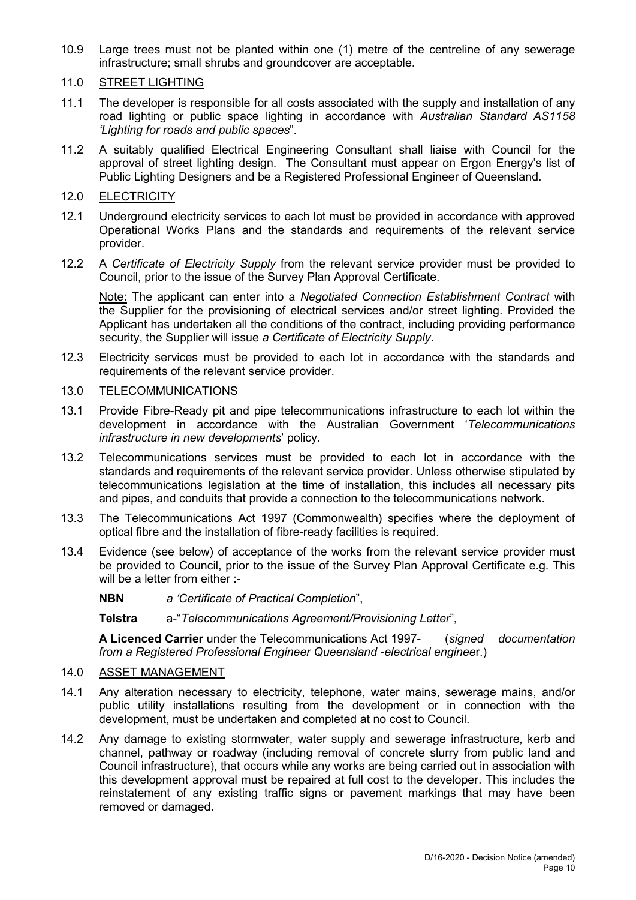10.9 Large trees must not be planted within one (1) metre of the centreline of any sewerage infrastructure; small shrubs and groundcover are acceptable.

#### 11.0 STREET LIGHTING

- 11.1 The developer is responsible for all costs associated with the supply and installation of any road lighting or public space lighting in accordance with *Australian Standard AS1158 'Lighting for roads and public spaces*".
- 11.2 A suitably qualified Electrical Engineering Consultant shall liaise with Council for the approval of street lighting design. The Consultant must appear on Ergon Energy's list of Public Lighting Designers and be a Registered Professional Engineer of Queensland.

#### 12.0 ELECTRICITY

- 12.1 Underground electricity services to each lot must be provided in accordance with approved Operational Works Plans and the standards and requirements of the relevant service provider.
- 12.2 A *Certificate of Electricity Supply* from the relevant service provider must be provided to Council, prior to the issue of the Survey Plan Approval Certificate.

Note: The applicant can enter into a *Negotiated Connection Establishment Contract* with the Supplier for the provisioning of electrical services and/or street lighting. Provided the Applicant has undertaken all the conditions of the contract, including providing performance security, the Supplier will issue *a Certificate of Electricity Supply*.

12.3 Electricity services must be provided to each lot in accordance with the standards and requirements of the relevant service provider.

#### 13.0 TELECOMMUNICATIONS

- 13.1 Provide Fibre-Ready pit and pipe telecommunications infrastructure to each lot within the development in accordance with the Australian Government '*Telecommunications infrastructure in new developments*' policy.
- 13.2 Telecommunications services must be provided to each lot in accordance with the standards and requirements of the relevant service provider. Unless otherwise stipulated by telecommunications legislation at the time of installation, this includes all necessary pits and pipes, and conduits that provide a connection to the telecommunications network.
- 13.3 The Telecommunications Act 1997 (Commonwealth) specifies where the deployment of optical fibre and the installation of fibre-ready facilities is required.
- 13.4 Evidence (see below) of acceptance of the works from the relevant service provider must be provided to Council, prior to the issue of the Survey Plan Approval Certificate e.g. This will be a letter from either :-
	- **NBN** *a 'Certificate of Practical Completion*",

**Telstra** a-"*Telecommunications Agreement/Provisioning Letter*",

**A Licenced Carrier** under the Telecommunications Act 1997- (*signed documentation from a Registered Professional Engineer Queensland -electrical enginee*r.)

#### 14.0 ASSET MANAGEMENT

- 14.1 Any alteration necessary to electricity, telephone, water mains, sewerage mains, and/or public utility installations resulting from the development or in connection with the development, must be undertaken and completed at no cost to Council.
- 14.2 Any damage to existing stormwater, water supply and sewerage infrastructure, kerb and channel, pathway or roadway (including removal of concrete slurry from public land and Council infrastructure), that occurs while any works are being carried out in association with this development approval must be repaired at full cost to the developer. This includes the reinstatement of any existing traffic signs or pavement markings that may have been removed or damaged.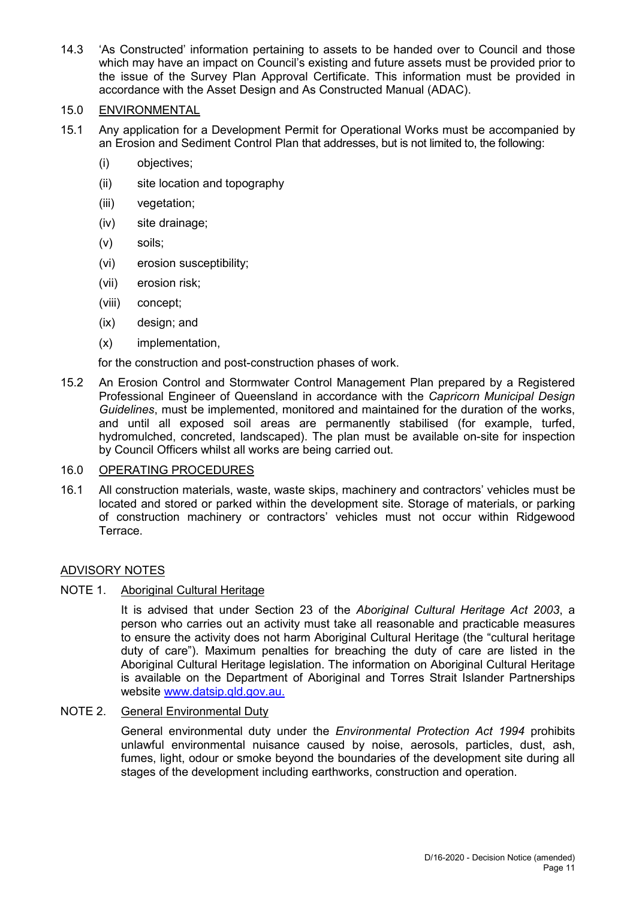14.3 'As Constructed' information pertaining to assets to be handed over to Council and those which may have an impact on Council's existing and future assets must be provided prior to the issue of the Survey Plan Approval Certificate. This information must be provided in accordance with the Asset Design and As Constructed Manual (ADAC).

#### 15.0 ENVIRONMENTAL

- 15.1 Any application for a Development Permit for Operational Works must be accompanied by an Erosion and Sediment Control Plan that addresses, but is not limited to, the following:
	- (i) objectives;
	- (ii) site location and topography
	- (iii) vegetation;
	- (iv) site drainage;
	- (v) soils;
	- (vi) erosion susceptibility;
	- (vii) erosion risk;
	- (viii) concept;
	- (ix) design; and
	- (x) implementation,

for the construction and post-construction phases of work.

15.2 An Erosion Control and Stormwater Control Management Plan prepared by a Registered Professional Engineer of Queensland in accordance with the *Capricorn Municipal Design Guidelines*, must be implemented, monitored and maintained for the duration of the works, and until all exposed soil areas are permanently stabilised (for example, turfed, hydromulched, concreted, landscaped). The plan must be available on-site for inspection by Council Officers whilst all works are being carried out.

#### 16.0 OPERATING PROCEDURES

16.1 All construction materials, waste, waste skips, machinery and contractors' vehicles must be located and stored or parked within the development site. Storage of materials, or parking of construction machinery or contractors' vehicles must not occur within Ridgewood Terrace.

#### ADVISORY NOTES

#### NOTE 1. Aboriginal Cultural Heritage

It is advised that under Section 23 of the *Aboriginal Cultural Heritage Act 2003*, a person who carries out an activity must take all reasonable and practicable measures to ensure the activity does not harm Aboriginal Cultural Heritage (the "cultural heritage duty of care"). Maximum penalties for breaching the duty of care are listed in the Aboriginal Cultural Heritage legislation. The information on Aboriginal Cultural Heritage is available on the Department of Aboriginal and Torres Strait Islander Partnerships website [www.datsip.qld.gov.au.](http://www.datsip.qld.gov.au/)

#### NOTE 2. General Environmental Duty

General environmental duty under the *Environmental Protection Act 1994* prohibits unlawful environmental nuisance caused by noise, aerosols, particles, dust, ash, fumes, light, odour or smoke beyond the boundaries of the development site during all stages of the development including earthworks, construction and operation.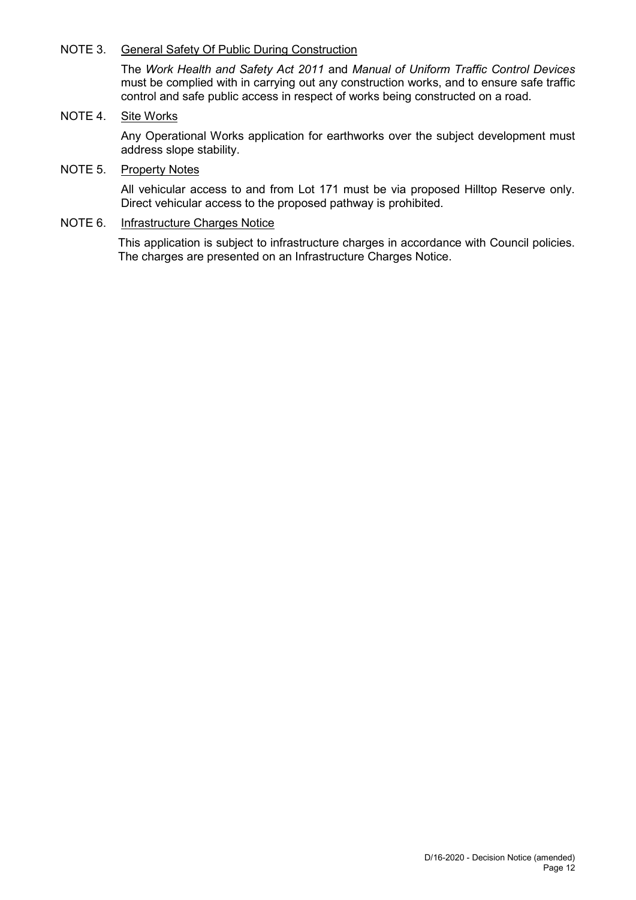### NOTE 3. General Safety Of Public During Construction

The *Work Health and Safety Act 2011* and *Manual of Uniform Traffic Control Devices* must be complied with in carrying out any construction works, and to ensure safe traffic control and safe public access in respect of works being constructed on a road.

### NOTE 4. Site Works

Any Operational Works application for earthworks over the subject development must address slope stability.

# NOTE 5. Property Notes

All vehicular access to and from Lot 171 must be via proposed Hilltop Reserve only. Direct vehicular access to the proposed pathway is prohibited.

# NOTE 6. Infrastructure Charges Notice

This application is subject to infrastructure charges in accordance with Council policies. The charges are presented on an Infrastructure Charges Notice.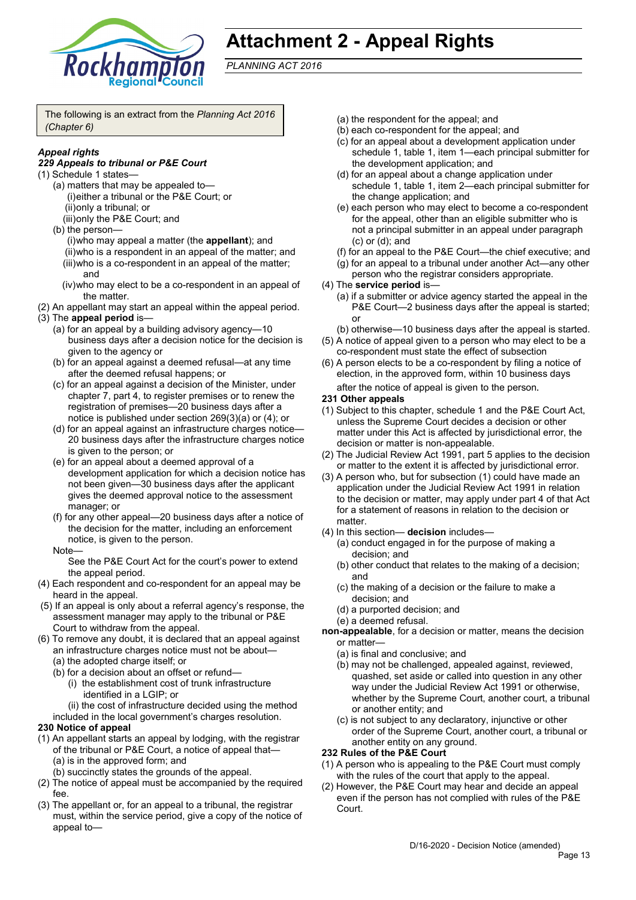

# **Attachment 2 - Appeal Rights**

*PLANNING ACT 2016*

The following is an extract from the *Planning Act 2016 (Chapter 6)*

## *Appeal rights*

#### *229 Appeals to tribunal or P&E Court*

- (1) Schedule 1 states—
	- (a) matters that may be appealed to— (i)either a tribunal or the P&E Court; or (ii)only a tribunal; or
		- (iii)only the P&E Court; and
	- (b) the person— (i)who may appeal a matter (the **appellant**); and (ii)who is a respondent in an appeal of the matter; and (iii)who is a co-respondent in an appeal of the matter; and
		- (iv)who may elect to be a co-respondent in an appeal of the matter.
- (2) An appellant may start an appeal within the appeal period.
- (3) The **appeal period** is—
	- (a) for an appeal by a building advisory agency—10 business days after a decision notice for the decision is given to the agency or
	- (b) for an appeal against a deemed refusal—at any time after the deemed refusal happens; or
	- (c) for an appeal against a decision of the Minister, under chapter 7, part 4, to register premises or to renew the registration of premises—20 business days after a notice is published under section 269(3)(a) or (4); or
	- (d) for an appeal against an infrastructure charges notice— 20 business days after the infrastructure charges notice is given to the person; or
	- (e) for an appeal about a deemed approval of a development application for which a decision notice has not been given—30 business days after the applicant gives the deemed approval notice to the assessment manager; or
	- (f) for any other appeal—20 business days after a notice of the decision for the matter, including an enforcement notice, is given to the person.
	- **Note**

See the P&E Court Act for the court's power to extend the appeal period.

- (4) Each respondent and co-respondent for an appeal may be heard in the appeal.
- (5) If an appeal is only about a referral agency's response, the assessment manager may apply to the tribunal or P&E Court to withdraw from the appeal.
- (6) To remove any doubt, it is declared that an appeal against an infrastructure charges notice must not be about—
	- (a) the adopted charge itself; or
	- (b) for a decision about an offset or refund—
		- (i) the establishment cost of trunk infrastructure identified in a LGIP; or
	- (ii) the cost of infrastructure decided using the method included in the local government's charges resolution.

#### **230 Notice of appeal**

- (1) An appellant starts an appeal by lodging, with the registrar of the tribunal or P&E Court, a notice of appeal that— (a) is in the approved form; and
	- (b) succinctly states the grounds of the appeal.
- (2) The notice of appeal must be accompanied by the required fee.
- (3) The appellant or, for an appeal to a tribunal, the registrar must, within the service period, give a copy of the notice of appeal to—
- (a) the respondent for the appeal; and
- (b) each co-respondent for the appeal; and
- (c) for an appeal about a development application under schedule 1, table 1, item 1—each principal submitter for the development application; and
- (d) for an appeal about a change application under schedule 1, table 1, item 2—each principal submitter for the change application; and
- (e) each person who may elect to become a co-respondent for the appeal, other than an eligible submitter who is not a principal submitter in an appeal under paragraph (c) or (d); and
- (f) for an appeal to the P&E Court—the chief executive; and
- (g) for an appeal to a tribunal under another Act—any other person who the registrar considers appropriate.
- (4) The **service period** is—
	- (a) if a submitter or advice agency started the appeal in the P&E Court—2 business days after the appeal is started; or
	- (b) otherwise—10 business days after the appeal is started.
- (5) A notice of appeal given to a person who may elect to be a co-respondent must state the effect of subsection
- (6) A person elects to be a co-respondent by filing a notice of election, in the approved form, within 10 business days after the notice of appeal is given to the person*.*
- **231 Other appeals**
- (1) Subject to this chapter, schedule 1 and the P&E Court Act, unless the Supreme Court decides a decision or other matter under this Act is affected by jurisdictional error, the decision or matter is non-appealable.
- (2) The Judicial Review Act 1991, part 5 applies to the decision or matter to the extent it is affected by jurisdictional error.
- (3) A person who, but for subsection (1) could have made an application under the Judicial Review Act 1991 in relation to the decision or matter, may apply under part 4 of that Act for a statement of reasons in relation to the decision or matter.
- (4) In this section— **decision** includes—
	- (a) conduct engaged in for the purpose of making a decision; and
	- (b) other conduct that relates to the making of a decision; and
	- (c) the making of a decision or the failure to make a decision; and
	- (d) a purported decision; and
	- (e) a deemed refusal.
- **non-appealable**, for a decision or matter, means the decision or matter—
	- (a) is final and conclusive; and
	- (b) may not be challenged, appealed against, reviewed, quashed, set aside or called into question in any other way under the Judicial Review Act 1991 or otherwise, whether by the Supreme Court, another court, a tribunal or another entity; and
	- (c) is not subject to any declaratory, injunctive or other order of the Supreme Court, another court, a tribunal or another entity on any ground.

#### **232 Rules of the P&E Court**

- (1) A person who is appealing to the P&E Court must comply with the rules of the court that apply to the appeal.
- (2) However, the P&E Court may hear and decide an appeal even if the person has not complied with rules of the P&E Court.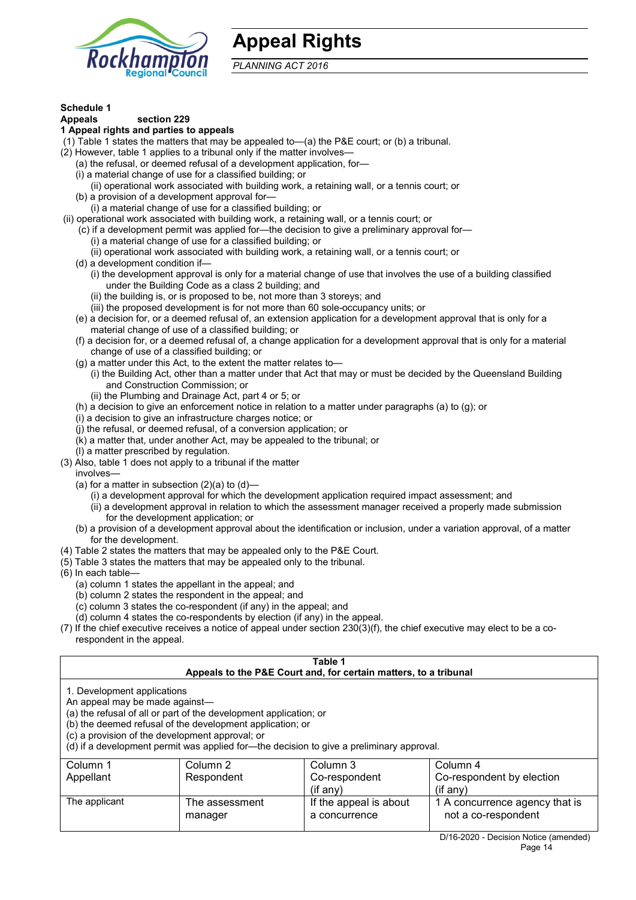

# **Appeal Rights**

*PLANNING ACT 2016*

# **Schedule 1**

#### **Appeals section 229**

#### **1 Appeal rights and parties to appeals**

(1) Table 1 states the matters that may be appealed to—(a) the P&E court; or (b) a tribunal.

- (2) However, table 1 applies to a tribunal only if the matter involves—
	- (a) the refusal, or deemed refusal of a development application, for—
	- (i) a material change of use for a classified building; or
	- (ii) operational work associated with building work, a retaining wall, or a tennis court; or
	- (b) a provision of a development approval for—
- (i) a material change of use for a classified building; or
- (ii) operational work associated with building work, a retaining wall, or a tennis court; or
	- (c) if a development permit was applied for—the decision to give a preliminary approval for— (i) a material change of use for a classified building; or
		- (ii) operational work associated with building work, a retaining wall, or a tennis court; or
	- (d) a development condition if—
		- (i) the development approval is only for a material change of use that involves the use of a building classified under the Building Code as a class 2 building; and
			- (ii) the building is, or is proposed to be, not more than 3 storeys; and
			- (iii) the proposed development is for not more than 60 sole-occupancy units; or
	- (e) a decision for, or a deemed refusal of, an extension application for a development approval that is only for a material change of use of a classified building; or
	- (f) a decision for, or a deemed refusal of, a change application for a development approval that is only for a material change of use of a classified building; or
	- (g) a matter under this Act, to the extent the matter relates to—
		- (i) the Building Act, other than a matter under that Act that may or must be decided by the Queensland Building and Construction Commission; or
		- (ii) the Plumbing and Drainage Act, part 4 or 5; or
	- (h) a decision to give an enforcement notice in relation to a matter under paragraphs (a) to (g); or
	- (i) a decision to give an infrastructure charges notice; or
	- (j) the refusal, or deemed refusal, of a conversion application; or
	- (k) a matter that, under another Act, may be appealed to the tribunal; or
- (l) a matter prescribed by regulation. (3) Also, table 1 does not apply to a tribunal if the matter
	- involves—
	- (a) for a matter in subsection  $(2)(a)$  to  $(d)$ 
		- (i) a development approval for which the development application required impact assessment; and
		- (ii) a development approval in relation to which the assessment manager received a properly made submission for the development application; or
	- (b) a provision of a development approval about the identification or inclusion, under a variation approval, of a matter for the development.
- (4) Table 2 states the matters that may be appealed only to the P&E Court.
- (5) Table 3 states the matters that may be appealed only to the tribunal.
- (6) In each table—
	- (a) column 1 states the appellant in the appeal; and
	- (b) column 2 states the respondent in the appeal; and
	- $(c)$  column 3 states the co-respondent (if any) in the appeal; and
	- (d) column 4 states the co-respondents by election (if any) in the appeal.
- $(7)$  If the chief executive receives a notice of appeal under section 230(3)(f), the chief executive may elect to be a corespondent in the appeal.

| Table 1<br>Appeals to the P&E Court and, for certain matters, to a tribunal                                                                                                                                                                                                                                                                    |                           |                                         |                                                       |  |
|------------------------------------------------------------------------------------------------------------------------------------------------------------------------------------------------------------------------------------------------------------------------------------------------------------------------------------------------|---------------------------|-----------------------------------------|-------------------------------------------------------|--|
| 1. Development applications<br>An appeal may be made against-<br>(a) the refusal of all or part of the development application; or<br>(b) the deemed refusal of the development application; or<br>(c) a provision of the development approval; or<br>(d) if a development permit was applied for—the decision to give a preliminary approval. |                           |                                         |                                                       |  |
| Column 1                                                                                                                                                                                                                                                                                                                                       | Column 2                  | Column 3                                | Column 4                                              |  |
| Appellant                                                                                                                                                                                                                                                                                                                                      | Respondent                | Co-respondent                           | Co-respondent by election                             |  |
| (if any)<br>$(i$ f anv $)$                                                                                                                                                                                                                                                                                                                     |                           |                                         |                                                       |  |
| The applicant                                                                                                                                                                                                                                                                                                                                  | The assessment<br>manager | If the appeal is about<br>a concurrence | 1 A concurrence agency that is<br>not a co-respondent |  |
|                                                                                                                                                                                                                                                                                                                                                |                           |                                         | $\mathbf{D}/4\mathbf{A}$                              |  |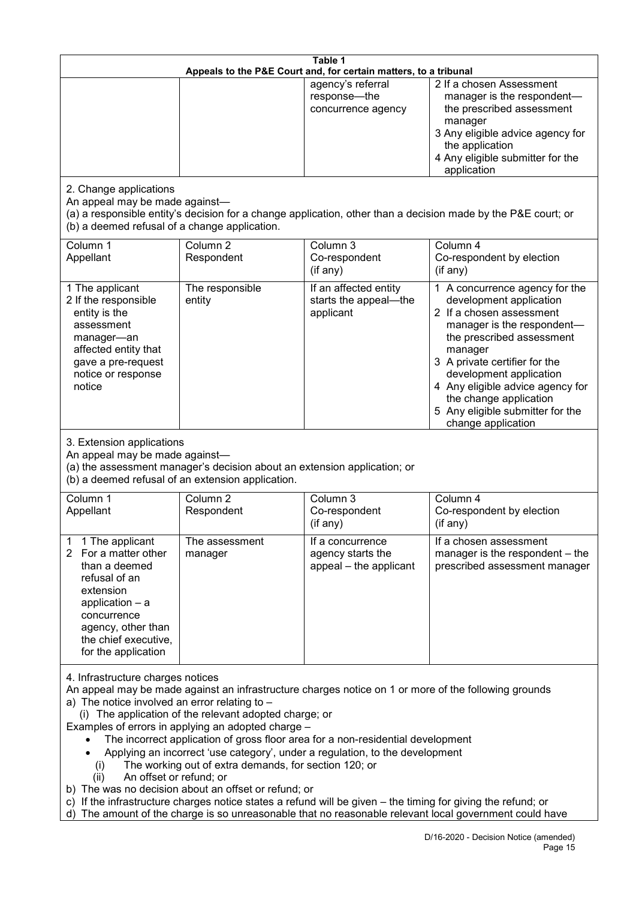| Table 1                                                                                                                                                                                                                                                                                                                                                                                                                                                                                                                                                                                                                                                                                                                                                                                                                                                               |                                   |                                                                 |                                                                                                                                                                                                                                                                                                                                                 |
|-----------------------------------------------------------------------------------------------------------------------------------------------------------------------------------------------------------------------------------------------------------------------------------------------------------------------------------------------------------------------------------------------------------------------------------------------------------------------------------------------------------------------------------------------------------------------------------------------------------------------------------------------------------------------------------------------------------------------------------------------------------------------------------------------------------------------------------------------------------------------|-----------------------------------|-----------------------------------------------------------------|-------------------------------------------------------------------------------------------------------------------------------------------------------------------------------------------------------------------------------------------------------------------------------------------------------------------------------------------------|
| Appeals to the P&E Court and, for certain matters, to a tribunal                                                                                                                                                                                                                                                                                                                                                                                                                                                                                                                                                                                                                                                                                                                                                                                                      |                                   |                                                                 |                                                                                                                                                                                                                                                                                                                                                 |
|                                                                                                                                                                                                                                                                                                                                                                                                                                                                                                                                                                                                                                                                                                                                                                                                                                                                       |                                   | agency's referral<br>response-the<br>concurrence agency         | 2 If a chosen Assessment<br>manager is the respondent-<br>the prescribed assessment<br>manager<br>3 Any eligible advice agency for<br>the application<br>4 Any eligible submitter for the<br>application                                                                                                                                        |
| 2. Change applications<br>An appeal may be made against-<br>(b) a deemed refusal of a change application.                                                                                                                                                                                                                                                                                                                                                                                                                                                                                                                                                                                                                                                                                                                                                             |                                   |                                                                 | (a) a responsible entity's decision for a change application, other than a decision made by the P&E court; or                                                                                                                                                                                                                                   |
| Column 1<br>Appellant                                                                                                                                                                                                                                                                                                                                                                                                                                                                                                                                                                                                                                                                                                                                                                                                                                                 | Column <sub>2</sub><br>Respondent | Column 3<br>Co-respondent<br>(if any)                           | Column 4<br>Co-respondent by election<br>(if any)                                                                                                                                                                                                                                                                                               |
| 1 The applicant<br>2 If the responsible<br>entity is the<br>assessment<br>manager-an<br>affected entity that<br>gave a pre-request<br>notice or response<br>notice                                                                                                                                                                                                                                                                                                                                                                                                                                                                                                                                                                                                                                                                                                    | The responsible<br>entity         | If an affected entity<br>starts the appeal-the<br>applicant     | 1 A concurrence agency for the<br>development application<br>2 If a chosen assessment<br>manager is the respondent-<br>the prescribed assessment<br>manager<br>3 A private certifier for the<br>development application<br>4 Any eligible advice agency for<br>the change application<br>5 Any eligible submitter for the<br>change application |
| 3. Extension applications<br>An appeal may be made against-<br>(a) the assessment manager's decision about an extension application; or<br>(b) a deemed refusal of an extension application.                                                                                                                                                                                                                                                                                                                                                                                                                                                                                                                                                                                                                                                                          |                                   |                                                                 |                                                                                                                                                                                                                                                                                                                                                 |
| Column 1<br>Appellant                                                                                                                                                                                                                                                                                                                                                                                                                                                                                                                                                                                                                                                                                                                                                                                                                                                 | Column <sub>2</sub><br>Respondent | Column 3<br>Co-respondent<br>(if any)                           | Column 4<br>Co-respondent by election<br>(if any)                                                                                                                                                                                                                                                                                               |
| 1 The applicant<br>1<br>For a matter other<br>2<br>than a deemed<br>refusal of an<br>extension<br>application $-$ a<br>concurrence<br>agency, other than<br>the chief executive,<br>for the application                                                                                                                                                                                                                                                                                                                                                                                                                                                                                                                                                                                                                                                               | The assessment<br>manager         | It a concurrence<br>agency starts the<br>appeal - the applicant | If a chosen assessment<br>manager is the respondent - the<br>prescribed assessment manager                                                                                                                                                                                                                                                      |
| 4. Infrastructure charges notices<br>An appeal may be made against an infrastructure charges notice on 1 or more of the following grounds<br>a) The notice involved an error relating to -<br>(i) The application of the relevant adopted charge; or<br>Examples of errors in applying an adopted charge -<br>The incorrect application of gross floor area for a non-residential development<br>Applying an incorrect 'use category', under a regulation, to the development<br>The working out of extra demands, for section 120; or<br>(i)<br>An offset or refund; or<br>(ii)<br>b) The was no decision about an offset or refund; or<br>c) If the infrastructure charges notice states a refund will be given – the timing for giving the refund; or<br>The amount of the charge is so unreasonable that no reasonable relevant local government could have<br>d) |                                   |                                                                 |                                                                                                                                                                                                                                                                                                                                                 |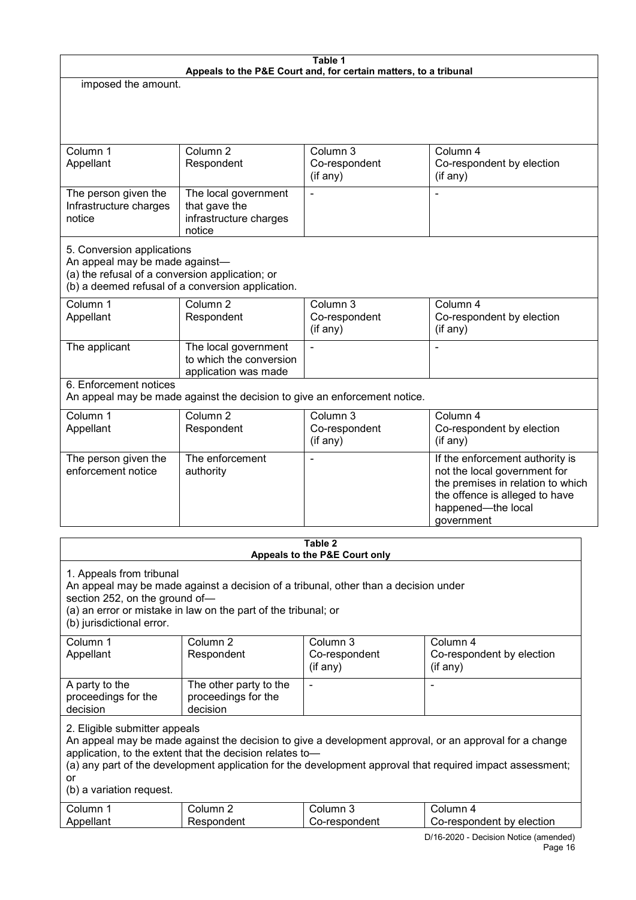| Table 1<br>Appeals to the P&E Court and, for certain matters, to a tribunal             |                                                                                                                                                                                                                                                                                 |                                             |                                                                                                                                                                                                                     |  |  |
|-----------------------------------------------------------------------------------------|---------------------------------------------------------------------------------------------------------------------------------------------------------------------------------------------------------------------------------------------------------------------------------|---------------------------------------------|---------------------------------------------------------------------------------------------------------------------------------------------------------------------------------------------------------------------|--|--|
| imposed the amount.                                                                     |                                                                                                                                                                                                                                                                                 |                                             |                                                                                                                                                                                                                     |  |  |
|                                                                                         |                                                                                                                                                                                                                                                                                 |                                             |                                                                                                                                                                                                                     |  |  |
| Column 1<br>Appellant                                                                   | Column <sub>2</sub><br>Respondent                                                                                                                                                                                                                                               | Column 3<br>Co-respondent<br>(if any)       | Column 4<br>Co-respondent by election<br>(if any)                                                                                                                                                                   |  |  |
| The person given the<br>Infrastructure charges<br>notice                                | The local government<br>that gave the<br>infrastructure charges<br>notice                                                                                                                                                                                                       |                                             |                                                                                                                                                                                                                     |  |  |
| Column 1<br>Appellant                                                                   | 5. Conversion applications<br>An appeal may be made against-<br>(a) the refusal of a conversion application; or<br>(b) a deemed refusal of a conversion application.<br>Column <sub>2</sub><br>Column 3<br>Column 4<br>Co-respondent<br>Respondent<br>Co-respondent by election |                                             |                                                                                                                                                                                                                     |  |  |
| The applicant                                                                           | The local government<br>to which the conversion<br>application was made                                                                                                                                                                                                         | (if any)                                    | (if any)<br>L,                                                                                                                                                                                                      |  |  |
| 6. Enforcement notices                                                                  | An appeal may be made against the decision to give an enforcement notice.                                                                                                                                                                                                       |                                             |                                                                                                                                                                                                                     |  |  |
| Column 1<br>Appellant                                                                   | Column <sub>2</sub><br>Respondent                                                                                                                                                                                                                                               | Column 3<br>Co-respondent<br>(if any)       | Column 4<br>Co-respondent by election<br>(if any)                                                                                                                                                                   |  |  |
| The person given the<br>enforcement notice                                              | The enforcement<br>authority                                                                                                                                                                                                                                                    |                                             | If the enforcement authority is<br>not the local government for<br>the premises in relation to which<br>the offence is alleged to have<br>happened-the local<br>government                                          |  |  |
|                                                                                         |                                                                                                                                                                                                                                                                                 | Table 2                                     |                                                                                                                                                                                                                     |  |  |
|                                                                                         |                                                                                                                                                                                                                                                                                 | Appeals to the P&E Court only               |                                                                                                                                                                                                                     |  |  |
| 1. Appeals from tribunal<br>section 252, on the ground of-<br>(b) jurisdictional error. | An appeal may be made against a decision of a tribunal, other than a decision under<br>(a) an error or mistake in law on the part of the tribunal; or                                                                                                                           |                                             |                                                                                                                                                                                                                     |  |  |
| Column 1<br>Appellant                                                                   | Column <sub>2</sub><br>Respondent                                                                                                                                                                                                                                               | Column 3<br>Co-respondent<br>$($ if any $)$ | Column 4<br>Co-respondent by election<br>(if any)                                                                                                                                                                   |  |  |
| A party to the<br>proceedings for the<br>decision                                       | The other party to the<br>proceedings for the<br>decision                                                                                                                                                                                                                       | $\blacksquare$                              | $\blacksquare$                                                                                                                                                                                                      |  |  |
| 2. Eligible submitter appeals                                                           | application, to the extent that the decision relates to-                                                                                                                                                                                                                        |                                             | An appeal may be made against the decision to give a development approval, or an approval for a change<br>(a) any part of the development application for the development approval that required impact assessment; |  |  |

or (b) a variation request.

| ⌒<br>∴ol⊔mr | olumn            | ∴∩l⊔m∽                | ∩l⊔mr                        |
|-------------|------------------|-----------------------|------------------------------|
| Annallant   | $\sim$ m<br>بم 1 | ondent<br>™≏cnr.<br>. | electior<br>bv<br>respondent |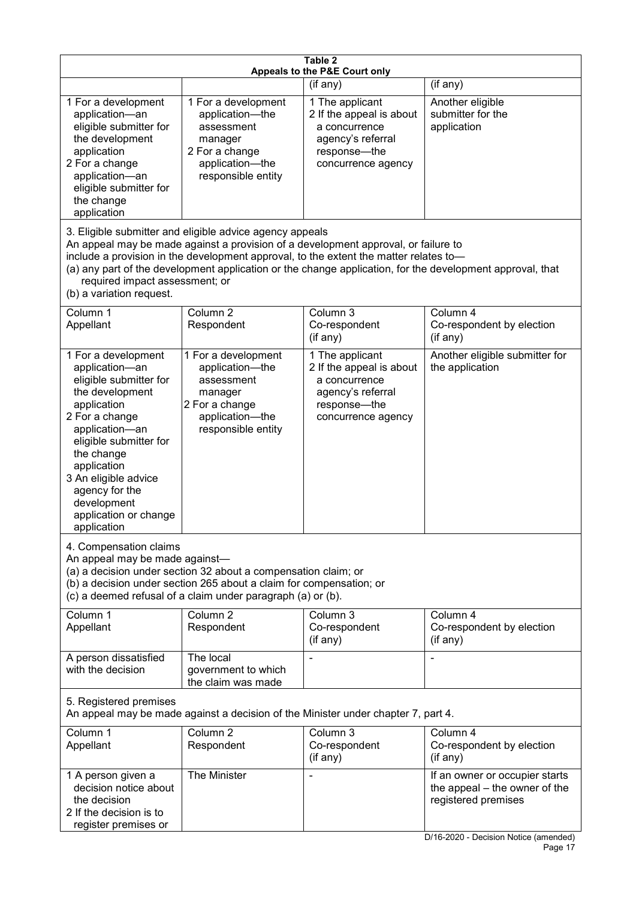| Table 2<br>Appeals to the P&E Court only                                                                                                                                                                                                                                                                                                                                                                           |                                                                                                                            |                                                                                                                         |                                                                                                                                 |  |
|--------------------------------------------------------------------------------------------------------------------------------------------------------------------------------------------------------------------------------------------------------------------------------------------------------------------------------------------------------------------------------------------------------------------|----------------------------------------------------------------------------------------------------------------------------|-------------------------------------------------------------------------------------------------------------------------|---------------------------------------------------------------------------------------------------------------------------------|--|
|                                                                                                                                                                                                                                                                                                                                                                                                                    |                                                                                                                            | (if any)                                                                                                                | (if any)                                                                                                                        |  |
| 1 For a development<br>application-an<br>eligible submitter for<br>the development<br>application<br>2 For a change<br>application-an<br>eligible submitter for<br>the change<br>application                                                                                                                                                                                                                       | 1 For a development<br>application-the<br>assessment<br>manager<br>2 For a change<br>application-the<br>responsible entity | 1 The applicant<br>2 If the appeal is about<br>a concurrence<br>agency's referral<br>response-the<br>concurrence agency | Another eligible<br>submitter for the<br>application                                                                            |  |
| 3. Eligible submitter and eligible advice agency appeals<br>An appeal may be made against a provision of a development approval, or failure to<br>include a provision in the development approval, to the extent the matter relates to-<br>(a) any part of the development application or the change application, for the development approval, that<br>required impact assessment; or<br>(b) a variation request. |                                                                                                                            |                                                                                                                         |                                                                                                                                 |  |
| Column 1<br>Appellant                                                                                                                                                                                                                                                                                                                                                                                              | Column <sub>2</sub><br>Respondent                                                                                          | Column 3<br>Co-respondent<br>(if any)                                                                                   | Column 4<br>Co-respondent by election<br>(if any)                                                                               |  |
| 1 For a development<br>application-an<br>eligible submitter for<br>the development<br>application<br>2 For a change<br>application-an<br>eligible submitter for<br>the change<br>application<br>3 An eligible advice<br>agency for the<br>development<br>application or change<br>application                                                                                                                      | 1 For a development<br>application-the<br>assessment<br>manager<br>2 For a change<br>application-the<br>responsible entity | 1 The applicant<br>2 If the appeal is about<br>a concurrence<br>agency's referral<br>response-the<br>concurrence agency | Another eligible submitter for<br>the application                                                                               |  |
| 4. Compensation claims<br>An appeal may be made against-<br>(a) a decision under section 32 about a compensation claim; or<br>(b) a decision under section 265 about a claim for compensation; or<br>(c) a deemed refusal of a claim under paragraph (a) or (b).                                                                                                                                                   |                                                                                                                            |                                                                                                                         |                                                                                                                                 |  |
| Column 1<br>Appellant                                                                                                                                                                                                                                                                                                                                                                                              | Column <sub>2</sub><br>Respondent                                                                                          | Column 3<br>Co-respondent<br>(if any)                                                                                   | Column 4<br>Co-respondent by election<br>(if any)                                                                               |  |
| A person dissatisfied<br>with the decision                                                                                                                                                                                                                                                                                                                                                                         | The local<br>government to which<br>the claim was made                                                                     |                                                                                                                         |                                                                                                                                 |  |
| 5. Registered premises<br>An appeal may be made against a decision of the Minister under chapter 7, part 4.                                                                                                                                                                                                                                                                                                        |                                                                                                                            |                                                                                                                         |                                                                                                                                 |  |
| Column 1<br>Appellant                                                                                                                                                                                                                                                                                                                                                                                              | Column <sub>2</sub><br>Respondent                                                                                          | Column $3$<br>Co-respondent<br>(if any)                                                                                 | Column 4<br>Co-respondent by election<br>(if any)                                                                               |  |
| 1 A person given a<br>decision notice about<br>the decision<br>2 If the decision is to<br>register premises or                                                                                                                                                                                                                                                                                                     | The Minister                                                                                                               |                                                                                                                         | If an owner or occupier starts<br>the appeal – the owner of the<br>registered premises<br>D/16-2020 - Decision Notice (amended) |  |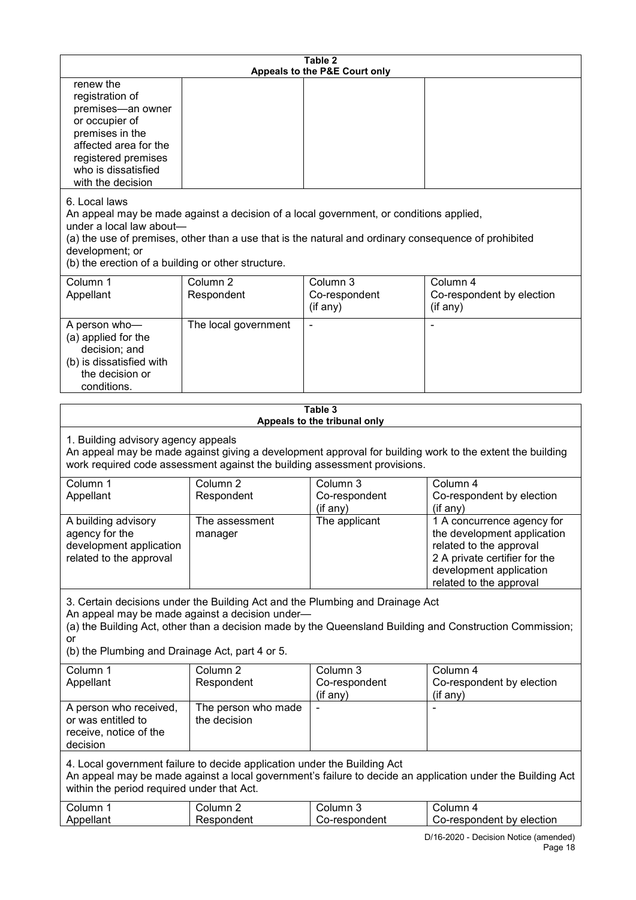| Table 2<br>Appeals to the P&E Court only                                                                                                                                                                                                                                                                             |                                     |                                       |                                                                                                                                                                             |  |
|----------------------------------------------------------------------------------------------------------------------------------------------------------------------------------------------------------------------------------------------------------------------------------------------------------------------|-------------------------------------|---------------------------------------|-----------------------------------------------------------------------------------------------------------------------------------------------------------------------------|--|
| renew the<br>registration of<br>premises-an owner<br>or occupier of<br>premises in the<br>affected area for the<br>registered premises<br>who is dissatisfied<br>with the decision                                                                                                                                   |                                     |                                       |                                                                                                                                                                             |  |
| 6. Local laws<br>An appeal may be made against a decision of a local government, or conditions applied,<br>under a local law about-<br>(a) the use of premises, other than a use that is the natural and ordinary consequence of prohibited<br>development; or<br>(b) the erection of a building or other structure. |                                     |                                       |                                                                                                                                                                             |  |
| Column 1<br>Appellant                                                                                                                                                                                                                                                                                                | Column <sub>2</sub><br>Respondent   | Column 3<br>Co-respondent<br>(if any) | Column 4<br>Co-respondent by election<br>(if any)                                                                                                                           |  |
| A person who-<br>(a) applied for the<br>decision; and<br>(b) is dissatisfied with<br>the decision or<br>conditions.                                                                                                                                                                                                  | The local government                |                                       |                                                                                                                                                                             |  |
|                                                                                                                                                                                                                                                                                                                      |                                     | Table 3                               |                                                                                                                                                                             |  |
| Appeals to the tribunal only<br>1. Building advisory agency appeals<br>An appeal may be made against giving a development approval for building work to the extent the building<br>work required code assessment against the building assessment provisions.                                                         |                                     |                                       |                                                                                                                                                                             |  |
| Column 1<br>Appellant                                                                                                                                                                                                                                                                                                | Column $\overline{2}$<br>Respondent | Column 3<br>Co-respondent<br>(if any) | Column 4<br>Co-respondent by election<br>(if any)                                                                                                                           |  |
| A building advisory<br>agency for the<br>development application<br>related to the approval                                                                                                                                                                                                                          | The assessment<br>manager           | The applicant                         | 1 A concurrence agency for<br>the development application<br>related to the approval<br>2 A private certifier for the<br>development application<br>related to the approval |  |
| 3. Certain decisions under the Building Act and the Plumbing and Drainage Act<br>An appeal may be made against a decision under-<br>(a) the Building Act, other than a decision made by the Queensland Building and Construction Commission;<br>or<br>(b) the Plumbing and Drainage Act, part 4 or 5.                |                                     |                                       |                                                                                                                                                                             |  |
| Column 1<br>Appellant                                                                                                                                                                                                                                                                                                | Column <sub>2</sub><br>Respondent   | Column 3<br>Co-respondent<br>(if any) | Column 4<br>Co-respondent by election<br>(if any)                                                                                                                           |  |
| A person who received,<br>or was entitled to<br>receive, notice of the<br>decision                                                                                                                                                                                                                                   | The person who made<br>the decision |                                       |                                                                                                                                                                             |  |
| 4. Local government failure to decide application under the Building Act<br>An appeal may be made against a local government's failure to decide an application under the Building Act<br>within the period required under that Act.                                                                                 |                                     |                                       |                                                                                                                                                                             |  |
| Column 1<br>Appellant                                                                                                                                                                                                                                                                                                | Column <sub>2</sub><br>Respondent   | Column 3<br>Co-respondent             | Column 4<br>Co-respondent by election                                                                                                                                       |  |